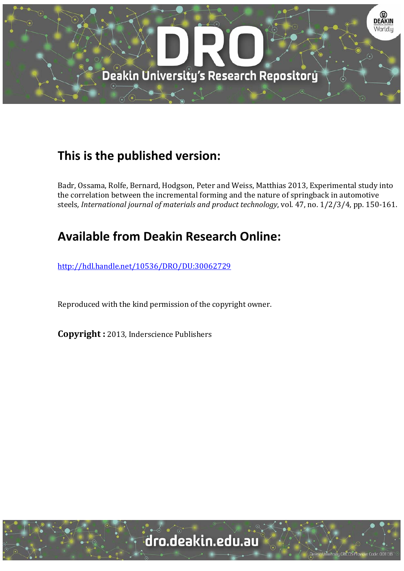

# **This is the published version:**

Badr, Ossama, Rolfe, Bernard, Hodgson, Peter and Weiss, Matthias 2013, Experimental study into the correlation between the incremental forming and the nature of springback in automotive steels*, International journal of materials and product technology*, vol. 47, no. 1/2/3/4, pp. 150‐161. 

# **Available from Deakin Research Online:**

http://hdl.handle.net/10536/DRO/DU:30062729

Reproduced with the kind permission of the copyright owner.

**Copyright** : 2013, Inderscience Publishers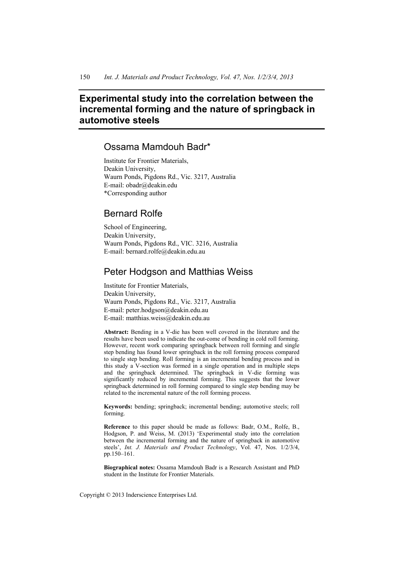# **Experimental study into the correlation between the incremental forming and the nature of springback in automotive steels**

# Ossama Mamdouh Badr\*

Institute for Frontier Materials, Deakin University, Waurn Ponds, Pigdons Rd., Vic. 3217, Australia E-mail: obadr@deakin.edu \*Corresponding author

# Bernard Rolfe

School of Engineering, Deakin University, Waurn Ponds, Pigdons Rd., VIC. 3216, Australia E-mail: bernard.rolfe@deakin.edu.au

# Peter Hodgson and Matthias Weiss

Institute for Frontier Materials, Deakin University, Waurn Ponds, Pigdons Rd., Vic. 3217, Australia E-mail: peter.hodgson@deakin.edu.au E-mail: matthias.weiss@deakin.edu.au

**Abstract:** Bending in a V-die has been well covered in the literature and the results have been used to indicate the out-come of bending in cold roll forming. However, recent work comparing springback between roll forming and single step bending has found lower springback in the roll forming process compared to single step bending. Roll forming is an incremental bending process and in this study a V-section was formed in a single operation and in multiple steps and the springback determined. The springback in V-die forming was significantly reduced by incremental forming. This suggests that the lower springback determined in roll forming compared to single step bending may be related to the incremental nature of the roll forming process.

**Keywords:** bending; springback; incremental bending; automotive steels; roll forming.

**Reference** to this paper should be made as follows: Badr, O.M., Rolfe, B., Hodgson, P. and Weiss, M. (2013) 'Experimental study into the correlation between the incremental forming and the nature of springback in automotive steels', *Int. J. Materials and Product Technology*, Vol. 47, Nos. 1/2/3/4, pp.150–161.

**Biographical notes:** Ossama Mamdouh Badr is a Research Assistant and PhD student in the Institute for Frontier Materials.

Copyright © 2013 Inderscience Enterprises Ltd.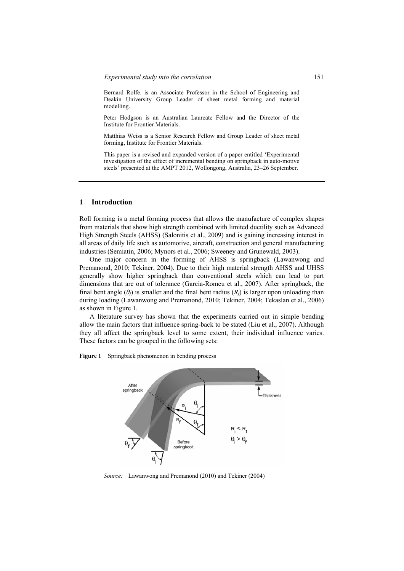Bernard Rolfe. is an Associate Professor in the School of Engineering and Deakin University Group Leader of sheet metal forming and material modelling.

Peter Hodgson is an Australian Laureate Fellow and the Director of the Institute for Frontier Materials.

Matthias Weiss is a Senior Research Fellow and Group Leader of sheet metal forming, Institute for Frontier Materials.

This paper is a revised and expanded version of a paper entitled 'Experimental investigation of the effect of incremental bending on springback in auto-motive steels' presented at the AMPT 2012, Wollongong, Australia, 23–26 September.

# **1 Introduction**

Roll forming is a metal forming process that allows the manufacture of complex shapes from materials that show high strength combined with limited ductility such as Advanced High Strength Steels (AHSS) (Salonitis et al., 2009) and is gaining increasing interest in all areas of daily life such as automotive, aircraft, construction and general manufacturing industries (Semiatin, 2006; Mynors et al., 2006; Sweeney and Grunewald, 2003).

One major concern in the forming of AHSS is springback (Lawanwong and Premanond, 2010; Tekiner, 2004). Due to their high material strength AHSS and UHSS generally show higher springback than conventional steels which can lead to part dimensions that are out of tolerance (Garcia-Romeu et al., 2007). After springback, the final bent angle  $(\theta_i)$  is smaller and the final bent radius  $(R_i)$  is larger upon unloading than during loading (Lawanwong and Premanond, 2010; Tekiner, 2004; Tekaslan et al., 2006) as shown in Figure 1.

A literature survey has shown that the experiments carried out in simple bending allow the main factors that influence spring-back to be stated (Liu et al., 2007). Although they all affect the springback level to some extent, their individual influence varies. These factors can be grouped in the following sets:

**Figure 1** Springback phenomenon in bending process



*Source:* Lawanwong and Premanond (2010) and Tekiner (2004)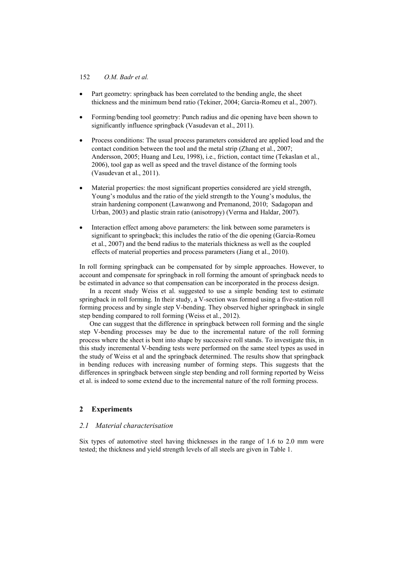- Part geometry: springback has been correlated to the bending angle, the sheet thickness and the minimum bend ratio (Tekiner, 2004; Garcia-Romeu et al., 2007).
- Forming/bending tool geometry: Punch radius and die opening have been shown to significantly influence springback (Vasudevan et al., 2011).
- Process conditions: The usual process parameters considered are applied load and the contact condition between the tool and the metal strip (Zhang et al., 2007; Andersson, 2005; Huang and Leu, 1998), i.e., friction, contact time (Tekaslan et al., 2006), tool gap as well as speed and the travel distance of the forming tools (Vasudevan et al., 2011).
- Material properties: the most significant properties considered are yield strength, Young's modulus and the ratio of the yield strength to the Young's modulus, the strain hardening component (Lawanwong and Premanond, 2010; Sadagopan and Urban, 2003) and plastic strain ratio (anisotropy) (Verma and Haldar, 2007).
- Interaction effect among above parameters: the link between some parameters is significant to springback; this includes the ratio of the die opening (Garcia-Romeu et al., 2007) and the bend radius to the materials thickness as well as the coupled effects of material properties and process parameters (Jiang et al., 2010).

In roll forming springback can be compensated for by simple approaches. However, to account and compensate for springback in roll forming the amount of springback needs to be estimated in advance so that compensation can be incorporated in the process design.

In a recent study Weiss et al. suggested to use a simple bending test to estimate springback in roll forming. In their study, a V-section was formed using a five-station roll forming process and by single step V-bending. They observed higher springback in single step bending compared to roll forming (Weiss et al., 2012).

One can suggest that the difference in springback between roll forming and the single step V-bending processes may be due to the incremental nature of the roll forming process where the sheet is bent into shape by successive roll stands. To investigate this, in this study incremental V-bending tests were performed on the same steel types as used in the study of Weiss et al and the springback determined. The results show that springback in bending reduces with increasing number of forming steps. This suggests that the differences in springback between single step bending and roll forming reported by Weiss et al. is indeed to some extend due to the incremental nature of the roll forming process.

#### **2 Experiments**

#### *2.1 Material characterisation*

Six types of automotive steel having thicknesses in the range of 1.6 to 2.0 mm were tested; the thickness and yield strength levels of all steels are given in Table 1.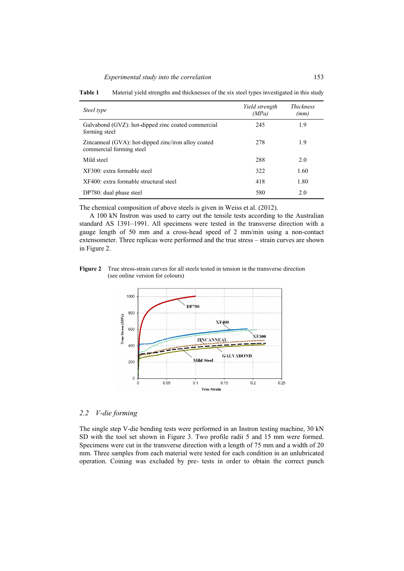| Steel type                                                                      | Yield strength<br>(MPa) | <i>Thickness</i><br>(mm) |
|---------------------------------------------------------------------------------|-------------------------|--------------------------|
| Galvabond (GVZ): hot-dipped zinc coated commercial<br>forming steel             | 245                     | 1.9                      |
| Zincanneal (GVA): hot-dipped zinc/iron alloy coated<br>commercial forming steel | 278                     | 1.9                      |
| Mild steel                                                                      | 288                     | 2.0                      |
| XF300: extra formable steel                                                     | 322                     | 1.60                     |
| XF400: extra formable structural steel                                          | 418                     | 1.80                     |
| DP780: dual phase steel                                                         | 580                     | 2.0                      |

**Table 1** Material yield strengths and thicknesses of the six steel types investigated in this study

The chemical composition of above steels is given in Weiss et al. (2012).

A 100 kN Instron was used to carry out the tensile tests according to the Australian standard AS 1391–1991. All specimens were tested in the transverse direction with a gauge length of 50 mm and a cross-head speed of 2 mm/min using a non-contact extensometer. Three replicas were performed and the true stress – strain curves are shown in Figure 2.

Figure 2 True stress-strain curves for all steels tested in tension in the transverse direction (see online version for colours)



## *2.2 V-die forming*

The single step V-die bending tests were performed in an Instron testing machine, 30 kN SD with the tool set shown in Figure 3. Two profile radii 5 and 15 mm were formed. Specimens were cut in the transverse direction with a length of 75 mm and a width of 20 mm. Three samples from each material were tested for each condition in an unlubricated operation. Coining was excluded by pre- tests in order to obtain the correct punch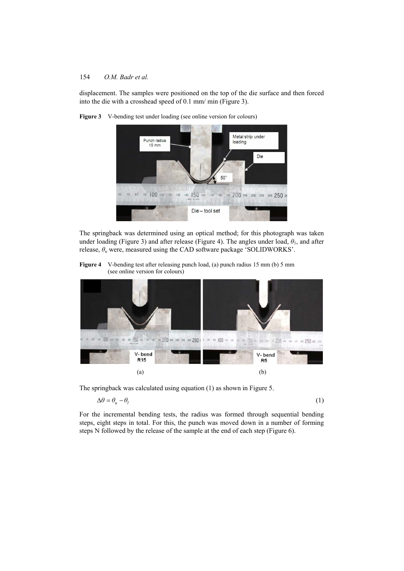displacement. The samples were positioned on the top of the die surface and then forced into the die with a crosshead speed of 0.1 mm/ min (Figure 3).



**Figure 3** V-bending test under loading (see online version for colours)

The springback was determined using an optical method; for this photograph was taken under loading (Figure 3) and after release (Figure 4). The angles under load,  $\theta_1$ , and after release,  $\theta$ <sup>*u*</sup> were, measured using the CAD software package 'SOLIDWORKS'.

**Figure 4** V-bending test after releasing punch load, (a) punch radius 15 mm (b) 5 mm (see online version for colours)



The springback was calculated using equation (1) as shown in Figure 5.

$$
\Delta\theta = \theta_u - \theta_l \tag{1}
$$

For the incremental bending tests, the radius was formed through sequential bending steps, eight steps in total. For this, the punch was moved down in a number of forming steps N followed by the release of the sample at the end of each step (Figure 6).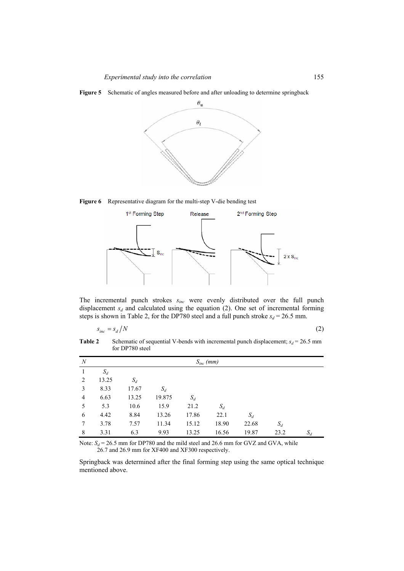







The incremental punch strokes *sinc* were evenly distributed over the full punch displacement  $s_d$  and calculated using the equation (2). One set of incremental forming steps is shown in Table 2, for the DP780 steel and a full punch stroke  $s_d = 26.5$  mm.

$$
s_{inc} = s_d / N \tag{2}
$$

**Table 2** Schematic of sequential V-bends with incremental punch displacement;  $s_d = 26.5$  mm for DP780 steel

| $\boldsymbol{N}$ | $S_{inc}(mm)$ |       |        |       |       |       |       |       |  |
|------------------|---------------|-------|--------|-------|-------|-------|-------|-------|--|
|                  | $S_d$         |       |        |       |       |       |       |       |  |
| 2                | 13.25         | $S_d$ |        |       |       |       |       |       |  |
| 3                | 8.33          | 17.67 | $S_d$  |       |       |       |       |       |  |
| $\overline{4}$   | 6.63          | 13.25 | 19.875 | $S_d$ |       |       |       |       |  |
| 5                | 5.3           | 10.6  | 15.9   | 21.2  | $S_d$ |       |       |       |  |
| 6                | 4.42          | 8.84  | 13.26  | 17.86 | 22.1  | $S_d$ |       |       |  |
| 7                | 3.78          | 7.57  | 11.34  | 15.12 | 18.90 | 22.68 | $S_d$ |       |  |
| 8                | 3.31          | 6.3   | 9.93   | 13.25 | 16.56 | 19.87 | 23.2  | $S_d$ |  |

Note:  $S_d = 26.5$  mm for DP780 and the mild steel and 26.6 mm for GVZ and GVA, while 26.7 and 26.9 mm for XF400 and XF300 respectively.

Springback was determined after the final forming step using the same optical technique mentioned above.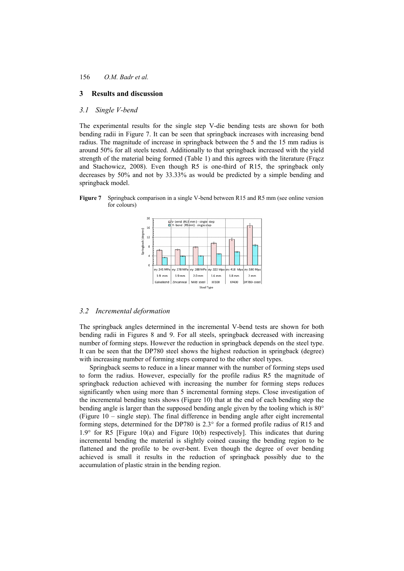#### **3 Results and discussion**

### *3.1 Single V-bend*

The experimental results for the single step V-die bending tests are shown for both bending radii in Figure 7. It can be seen that springback increases with increasing bend radius. The magnitude of increase in springback between the 5 and the 15 mm radius is around 50% for all steels tested. Additionally to that springback increased with the yield strength of the material being formed (Table 1) and this agrees with the literature (Frącz and Stachowicz, 2008). Even though R5 is one-third of R15, the springback only decreases by 50% and not by 33.33% as would be predicted by a simple bending and springback model.



**Figure 7** Springback comparison in a single V-bend between R15 and R5 mm (see online version for colours)

#### *3.2 Incremental deformation*

The springback angles determined in the incremental V-bend tests are shown for both bending radii in Figures 8 and 9. For all steels, springback decreased with increasing number of forming steps. However the reduction in springback depends on the steel type. It can be seen that the DP780 steel shows the highest reduction in springback (degree) with increasing number of forming steps compared to the other steel types.

Springback seems to reduce in a linear manner with the number of forming steps used to form the radius. However, especially for the profile radius R5 the magnitude of springback reduction achieved with increasing the number for forming steps reduces significantly when using more than 5 incremental forming steps. Close investigation of the incremental bending tests shows (Figure 10) that at the end of each bending step the bending angle is larger than the supposed bending angle given by the tooling which is 80° (Figure 10 – single step). The final difference in bending angle after eight incremental forming steps, determined for the DP780 is 2.3° for a formed profile radius of R15 and 1.9° for R5 [Figure 10(a) and Figure 10(b) respectively]. This indicates that during incremental bending the material is slightly coined causing the bending region to be flattened and the profile to be over-bent. Even though the degree of over bending achieved is small it results in the reduction of springback possibly due to the accumulation of plastic strain in the bending region.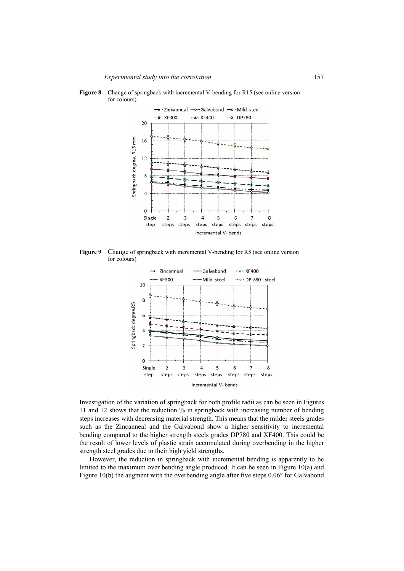

**Figure 8** Change of springback with incremental V-bending for R15 (see online version for colours)

**Figure 9** Change of springback with incremental V-bending for R5 (see online version for colours)



Investigation of the variation of springback for both profile radii as can be seen in Figures 11 and 12 shows that the reduction % in springback with increasing number of bending steps increases with decreasing material strength. This means that the milder steels grades such as the Zincanneal and the Galvabond show a higher sensitivity to incremental bending compared to the higher strength steels grades DP780 and XF400. This could be the result of lower levels of plastic strain accumulated during overbending in the higher strength steel grades due to their high yield strengths.

However, the reduction in springback with incremental bending is apparently to be limited to the maximum over bending angle produced. It can be seen in Figure 10(a) and Figure 10(b) the augment with the overbending angle after five steps 0.06° for Galvabond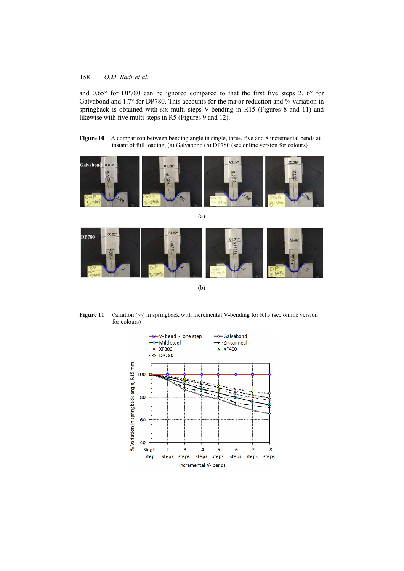and 0.65° for DP780 can be ignored compared to that the first five steps 2.16° for Galvabond and 1.7° for DP780. This accounts for the major reduction and % variation in springback is obtained with six multi steps V-bending in R15 (Figures 8 and 11) and likewise with five multi-steps in R5 (Figures 9 and 12).

**Figure 10** A comparison between bending angle in single, three, five and 8 incremental bends at instant of full loading, (a) Galvabond (b) DP780 (see online version for colours)





(b)

Figure 11 Variation (%) in springback with incremental V-bending for R15 (see online version for colours)

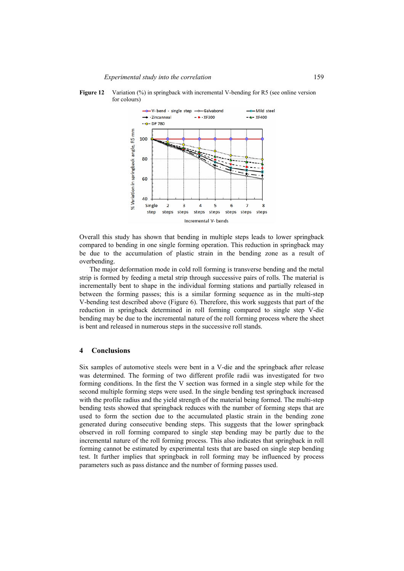

**Figure 12** Variation (%) in springback with incremental V-bending for R5 (see online version for colours)

Overall this study has shown that bending in multiple steps leads to lower springback compared to bending in one single forming operation. This reduction in springback may be due to the accumulation of plastic strain in the bending zone as a result of overbending.

The major deformation mode in cold roll forming is transverse bending and the metal strip is formed by feeding a metal strip through successive pairs of rolls. The material is incrementally bent to shape in the individual forming stations and partially released in between the forming passes; this is a similar forming sequence as in the multi-step V-bending test described above (Figure 6). Therefore, this work suggests that part of the reduction in springback determined in roll forming compared to single step V-die bending may be due to the incremental nature of the roll forming process where the sheet is bent and released in numerous steps in the successive roll stands.

#### **4 Conclusions**

Six samples of automotive steels were bent in a V-die and the springback after release was determined. The forming of two different profile radii was investigated for two forming conditions. In the first the V section was formed in a single step while for the second multiple forming steps were used. In the single bending test springback increased with the profile radius and the yield strength of the material being formed. The multi-step bending tests showed that springback reduces with the number of forming steps that are used to form the section due to the accumulated plastic strain in the bending zone generated during consecutive bending steps. This suggests that the lower springback observed in roll forming compared to single step bending may be partly due to the incremental nature of the roll forming process. This also indicates that springback in roll forming cannot be estimated by experimental tests that are based on single step bending test. It further implies that springback in roll forming may be influenced by process parameters such as pass distance and the number of forming passes used.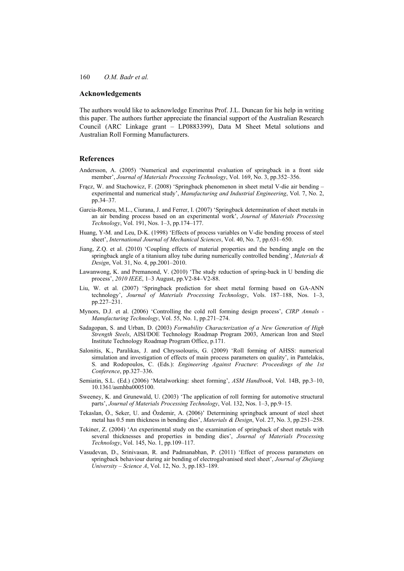#### **Acknowledgements**

The authors would like to acknowledge Emeritus Prof. J.L. Duncan for his help in writing this paper. The authors further appreciate the financial support of the Australian Research Council (ARC Linkage grant – LP0883399), Data M Sheet Metal solutions and Australian Roll Forming Manufacturers.

### **References**

- Andersson, A. (2005) 'Numerical and experimental evaluation of springback in a front side member', *Journal of Materials Processing Technology*, Vol. 169, No. 3, pp.352–356.
- Frącz, W. and Stachowicz, F. (2008) 'Springback phenomenon in sheet metal V-die air bending experimental and numerical study', *Manufacturing and Industrial Engineering*, Vol. 7, No. 2, pp.34–37.
- Garcia-Romeu, M.L., Ciurana, J. and Ferrer, I. (2007) 'Springback determination of sheet metals in an air bending process based on an experimental work', *Journal of Materials Processing Technology*, Vol. 191, Nos. 1–3, pp.174–177.
- Huang, Y-M. and Leu, D-K. (1998) 'Effects of process variables on V-die bending process of steel sheet', *International Journal of Mechanical Sciences*, Vol. 40, No. 7, pp.631–650.
- Jiang, Z.Q. et al. (2010) 'Coupling effects of material properties and the bending angle on the springback angle of a titanium alloy tube during numerically controlled bending', *Materials & Design*, Vol. 31, No. 4, pp.2001–2010.
- Lawanwong, K. and Premanond, V. (2010) 'The study reduction of spring-back in U bending die process', *2010 IEEE*, 1–3 August, pp.V2-84–V2-88.
- Liu, W. et al. (2007) 'Springback prediction for sheet metal forming based on GA-ANN technology', *Journal of Materials Processing Technology*, Vols. 187–188, Nos. 1–3, pp.227–231.
- Mynors, D.J. et al. (2006) 'Controlling the cold roll forming design process', *CIRP Annals Manufacturing Technology*, Vol. 55, No. 1, pp.271–274.
- Sadagopan, S. and Urban, D. (2003) *Formability Characterization of a New Generation of High Strength Steels*, AISI/DOE Technology Roadmap Program 2003, American Iron and Steel Institute Technology Roadmap Program Office, p.171.
- Salonitis, K., Paralikas, J. and Chryssolouris, G. (2009) 'Roll forming of AHSS: numerical simulation and investigation of effects of main process parameters on quality', in Pantelakis, S. and Rodopoulos, C. (Eds.): *Engineering Against Fracture*: *Proceedings of the 1st Conference*, pp.327–336.
- Semiatin, S.L. (Ed.) (2006) 'Metalworking: sheet forming', *ASM Handbook*, Vol. 14B, pp.3–10, 10.1361/asmhba0005100.
- Sweeney, K. and Grunewald, U. (2003) 'The application of roll forming for automotive structural parts', *Journal of Materials Processing Technology*, Vol. 132, Nos. 1–3, pp.9–15.
- Tekaslan, Ö., Seker, U. and Özdemir, A. (2006)' Determining springback amount of steel sheet metal has 0.5 mm thickness in bending dies', *Materials & Design*, Vol. 27, No. 3, pp.251–258.
- Tekiner, Z. (2004) 'An experimental study on the examination of springback of sheet metals with several thicknesses and properties in bending dies', *Journal of Materials Processing Technology*, Vol. 145, No. 1, pp.109–117.
- Vasudevan, D., Srinivasan, R. and Padmanabhan, P. (2011) 'Effect of process parameters on springback behaviour during air bending of electrogalvanised steel sheet', *Journal of Zhejiang University – Science A*, Vol. 12, No. 3, pp.183–189.